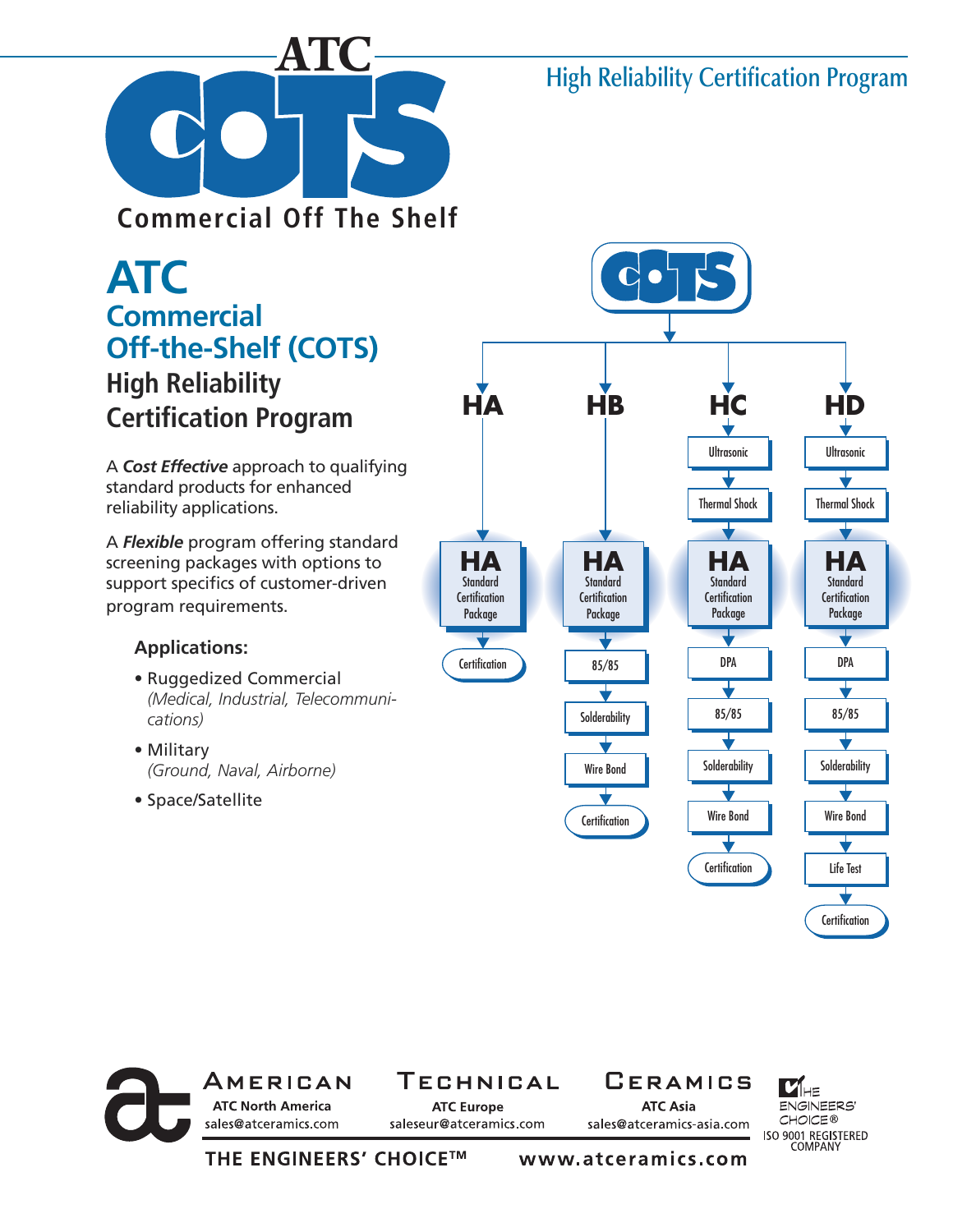### **High Reliability Certification Program**



**Commercial Off The Shelf**

## **ATC Commercial Off-the-Shelf (COTS) High Reliability Certification Program**

A *Cost Effective* approach to qualifying standard products for enhanced reliability applications.

A *Flexible* program offering standard screening packages with options to support specifics of customer-driven program requirements.

#### **Applications:**

- Ruggedized Commercial *(Medical, Industrial, Telecommunications)*
- Military *(Ground, Naval, Airborne)*
- Space/Satellite





1IHE ENGINEERS' **CHOICE®** sales@atceramics-asia.com ISO 9001 REGISTERED<br>COMPANY

**THE ENGINEERS' CHOICE™**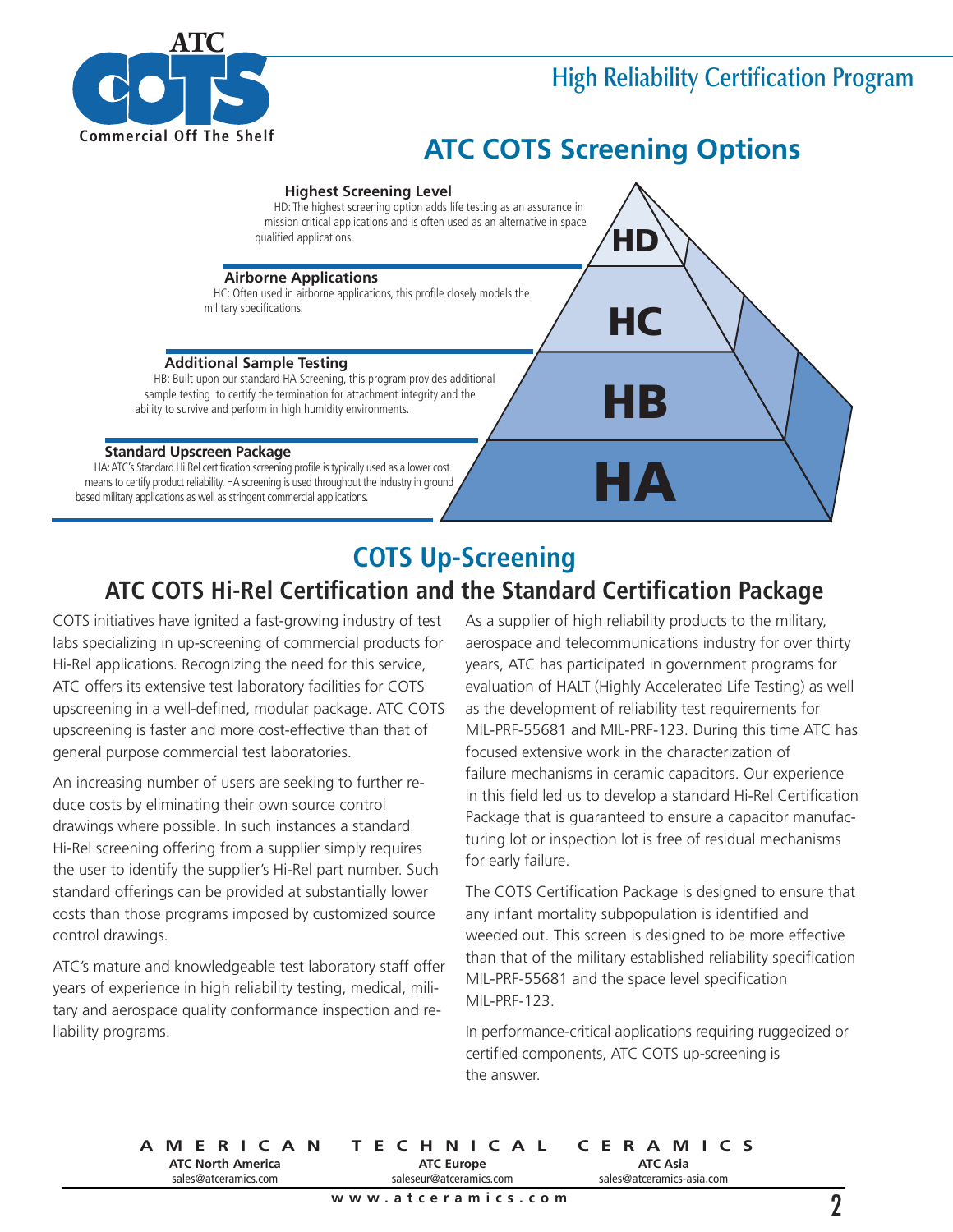

### **High Reliability Certification Program**

## **ATC COTS Screening Options**



#### **COTS Up-Screening ATC COTS Hi-Rel Certification and the Standard Certification Package**

COTS initiatives have ignited a fast-growing industry of test labs specializing in up-screening of commercial products for Hi-Rel applications. Recognizing the need for this service, ATC offers its extensive test laboratory facilities for COTS upscreening in a well-defined, modular package. ATC COTS upscreening is faster and more cost-effective than that of general purpose commercial test laboratories.

An increasing number of users are seeking to further reduce costs by eliminating their own source control drawings where possible. In such instances a standard Hi-Rel screening offering from a supplier simply requires the user to identify the supplier's Hi-Rel part number. Such standard offerings can be provided at substantially lower costs than those programs imposed by customized source control drawings.

ATC's mature and knowledgeable test laboratory staff offer years of experience in high reliability testing, medical, military and aerospace quality conformance inspection and reliability programs.

As a supplier of high reliability products to the military, aerospace and telecommunications industry for over thirty years, ATC has participated in government programs for evaluation of HALT (Highly Accelerated Life Testing) as well as the development of reliability test requirements for MIL-PRF-55681 and MIL-PRF-123. During this time ATC has focused extensive work in the characterization of failure mechanisms in ceramic capacitors. Our experience in this field led us to develop a standard Hi-Rel Certification Package that is guaranteed to ensure a capacitor manufacturing lot or inspection lot is free of residual mechanisms for early failure.

The COTS Certification Package is designed to ensure that any infant mortality subpopulation is identified and weeded out. This screen is designed to be more effective than that of the military established reliability specification MIL-PRF-55681 and the space level specification MIL-PRF-123.

In performance-critical applications requiring ruggedized or certified components, ATC COTS up-screening is the answer.

**AMERICAN TECHNICAL CERAMICS ATC North America** sales@atceramics.com **ATC Asia** sales@atceramics-asia.com **ATC Europe** saleseur@atceramics.com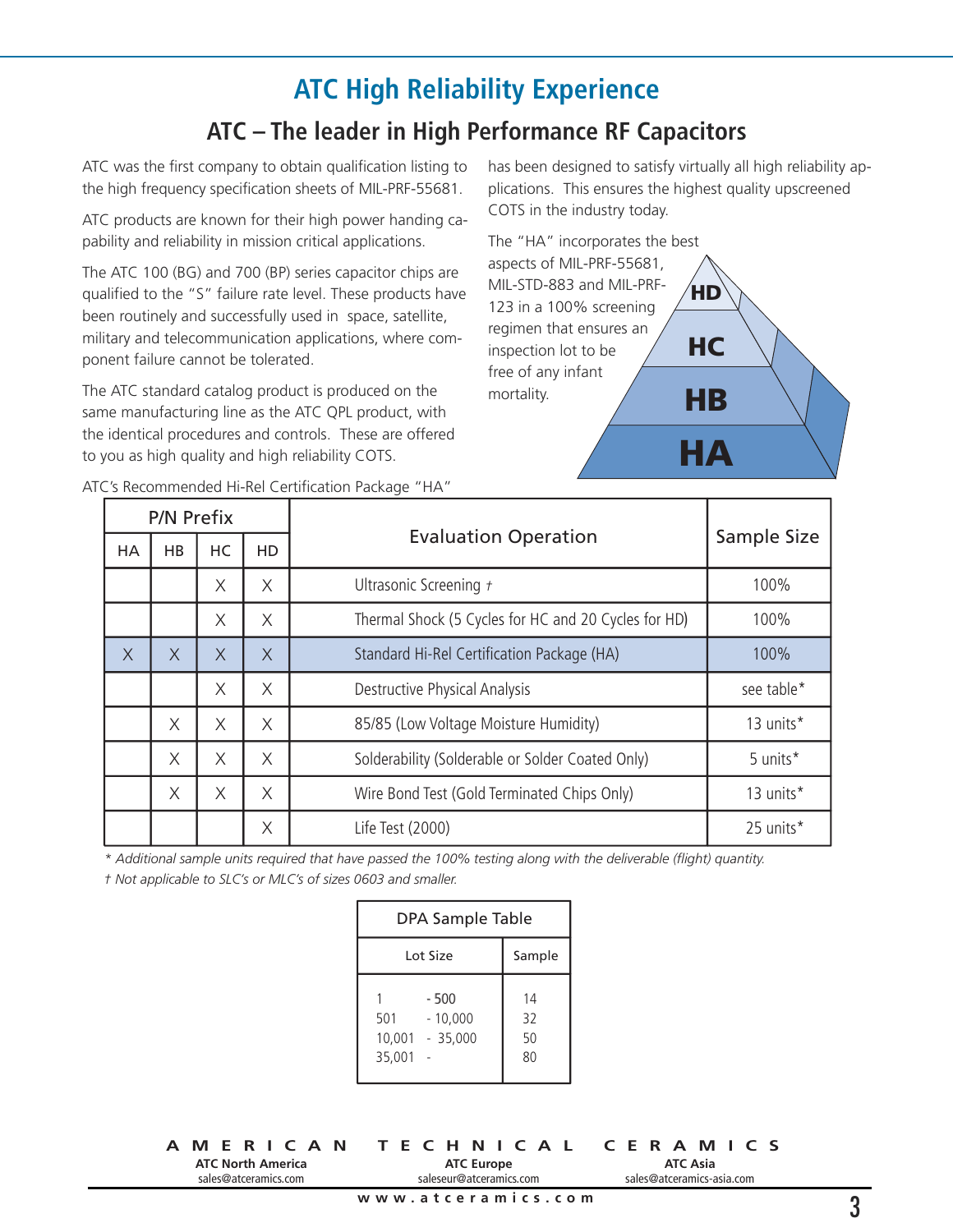# **ATC High Reliability Experience**

#### **ATC – The leader in High Performance RF Capacitors**

ATC was the first company to obtain qualification listing to the high frequency specification sheets of MIL-PRF-55681.

ATC products are known for their high power handing capability and reliability in mission critical applications.

The ATC 100 (BG) and 700 (BP) series capacitor chips are qualified to the "S" failure rate level. These products have been routinely and successfully used in space, satellite, military and telecommunication applications, where component failure cannot be tolerated.

The ATC standard catalog product is produced on the same manufacturing line as the ATC QPL product, with the identical procedures and controls. These are offered to you as high quality and high reliability COTS.

has been designed to satisfy virtually all high reliability applications. This ensures the highest quality upscreened COTS in the industry today.



| P/N Prefix |          |          |           |                                                      |             |
|------------|----------|----------|-----------|------------------------------------------------------|-------------|
| HA         | HB       | HC       | <b>HD</b> | <b>Evaluation Operation</b>                          | Sample Size |
|            |          | Χ        | X         | Ultrasonic Screening +                               | 100%        |
|            |          | X        | X         | Thermal Shock (5 Cycles for HC and 20 Cycles for HD) | 100%        |
| $\times$   | $\times$ | $\times$ | $\times$  | Standard Hi-Rel Certification Package (HA)           | 100%        |
|            |          | X        | X         | Destructive Physical Analysis                        | see table*  |
|            | X        | X        | X         | 85/85 (Low Voltage Moisture Humidity)                | 13 units*   |
|            | X        | X        | $\times$  | Solderability (Solderable or Solder Coated Only)     | 5 units*    |
|            | X        | X        | X         | Wire Bond Test (Gold Terminated Chips Only)          | 13 units*   |
|            |          |          | X         | Life Test (2000)                                     | 25 units*   |

ATC's Recommended Hi-Rel Certification Package "HA"

*\* Additional sample units required that have passed the 100% testing along with the deliverable (flight) quantity.*

*† Not applicable to SLC's or MLC's of sizes 0603 and smaller.* 

| <b>DPA Sample Table</b> |                                       |                      |  |  |  |  |
|-------------------------|---------------------------------------|----------------------|--|--|--|--|
| Lot Size                | Sample                                |                      |  |  |  |  |
| 501<br>35,001           | - 500<br>$-10.000$<br>10,001 - 35,000 | 14<br>32<br>50<br>80 |  |  |  |  |

**ATC North America** sales@atceramics.com

**ATC Europe** saleseur@atceramics.com

**AMERICAN TECHNICAL CERAMICS ATC Asia** sales@atceramics-asia.com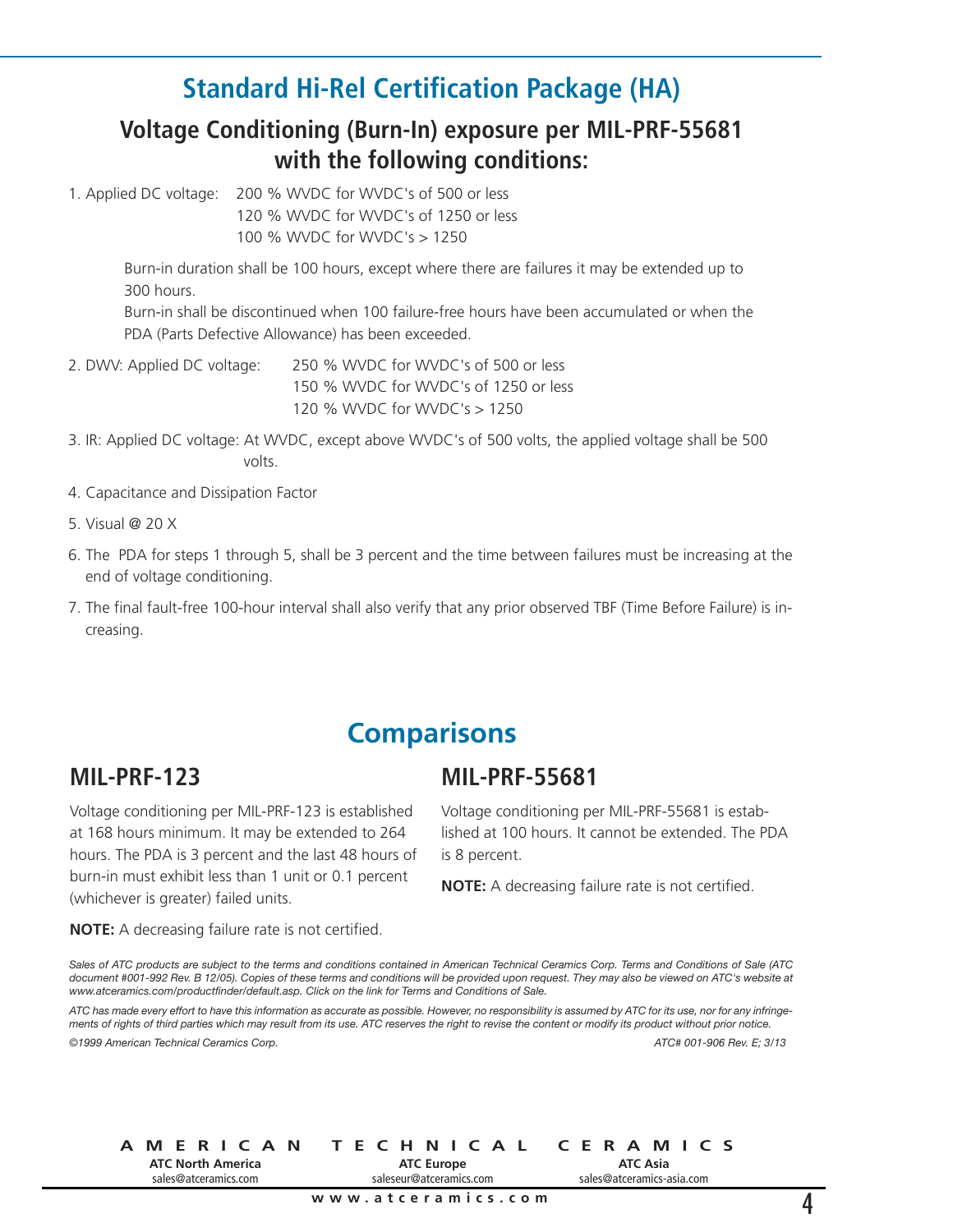### **Standard Hi-Rel Certification Package (HA)**

#### **Voltage Conditioning (Burn-In) exposure per MIL-PRF-55681 with the following conditions:**

1. Applied DC voltage: 200 % WVDC for WVDC's of 500 or less

120 % WVDC for WVDC's of 1250 or less 100 % WVDC for WVDC's > 1250

 Burn-in duration shall be 100 hours, except where there are failures it may be extended up to 300 hours.

 Burn-in shall be discontinued when 100 failure-free hours have been accumulated or when the PDA (Parts Defective Allowance) has been exceeded.

2. DWV: Applied DC voltage: 250 % WVDC for WVDC's of 500 or less 150 % WVDC for WVDC's of 1250 or less 120 % WVDC for WVDC's > 1250

- 3. IR: Applied DC voltage: At WVDC, except above WVDC's of 500 volts, the applied voltage shall be 500 volts.
- 4. Capacitance and Dissipation Factor
- 5. Visual @ 20 X
- 6. The PDA for steps 1 through 5, shall be 3 percent and the time between failures must be increasing at the end of voltage conditioning.
- 7. The final fault-free 100-hour interval shall also verify that any prior observed TBF (Time Before Failure) is increasing.

#### **Comparisons**

#### **MIL-PRF-123**

Voltage conditioning per MIL-PRF-123 is established at 168 hours minimum. It may be extended to 264 hours. The PDA is 3 percent and the last 48 hours of burn-in must exhibit less than 1 unit or 0.1 percent (whichever is greater) failed units.

**NOTE:** A decreasing failure rate is not certified.

#### **MIL-PRF-55681**

Voltage conditioning per MIL-PRF-55681 is established at 100 hours. It cannot be extended. The PDA is 8 percent.

**NOTE:** A decreasing failure rate is not certified.

Sales of ATC products are subject to the terms and conditions contained in American Technical Ceramics Corp. Terms and Conditions of Sale (ATC document #001-992 Rev. B 12/05). Copies of these terms and conditions will be provided upon request. They may also be viewed on ATC's website at *www.atceramics.com/productfinder/default.asp. Click on the link for Terms and Conditions of Sale.*

ATC has made every effort to have this information as accurate as possible. However, no responsibility is assumed by ATC for its use, nor for any infringements of rights of third parties which may result from its use. ATC reserves the right to revise the content or modify its product without prior notice. *©1999 American Technical Ceramics Corp. ATC# 001-906 Rev. E; 3/13*

**AMERICAN TECHNICAL CERAMICS ATC North America** sales@atceramics.com **ATC Europe** saleseur@atceramics.com

**ATC Asia** sales@atceramics-asia.com

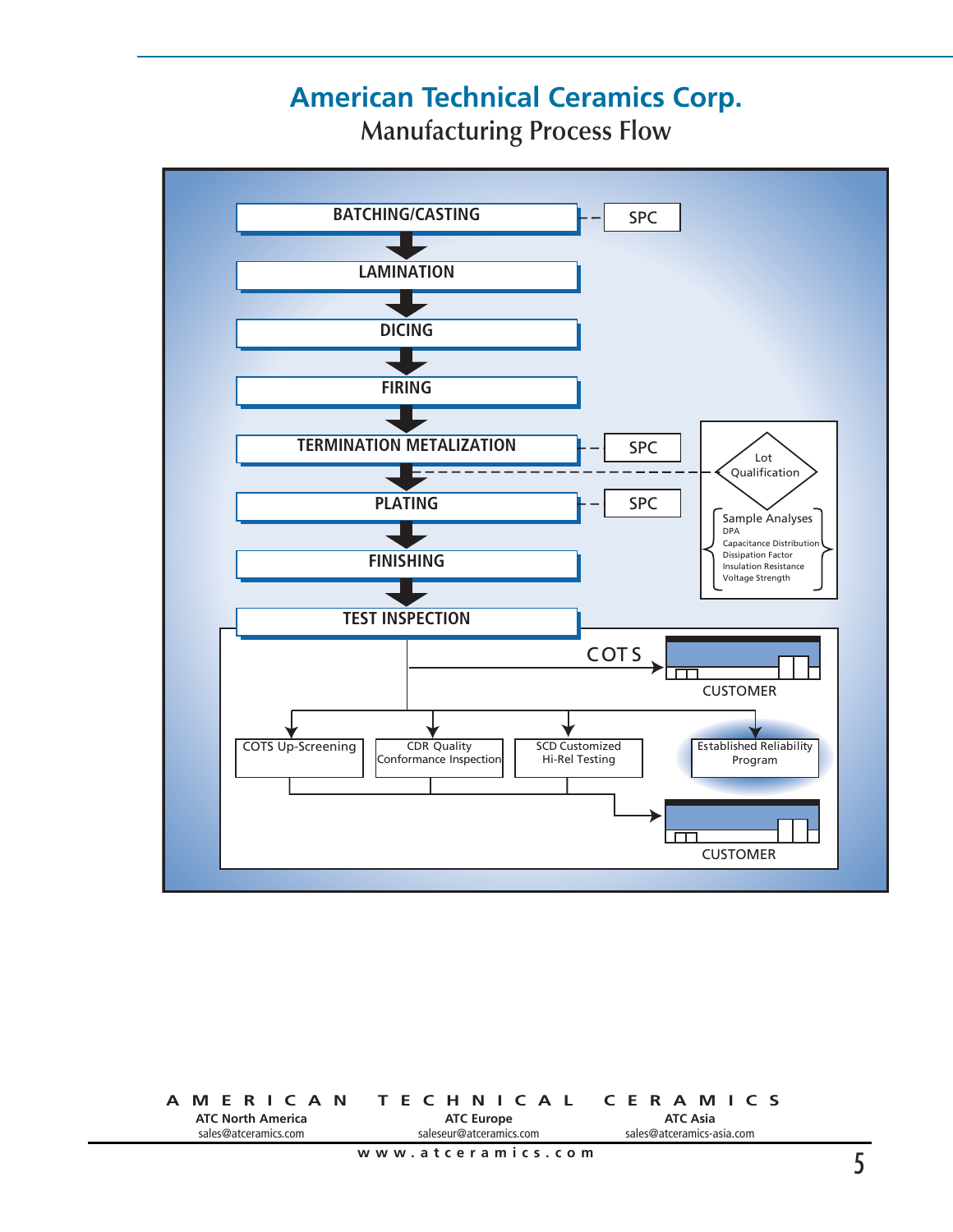# **American Technical Ceramics Corp.**

**Manufacturing Process Flow**



**AMERICAN TECHNICAL CERAMICS ATC North America** sales@atceramics.com **ATC Asia** sales@atceramics-asia.com **ATC Europe** saleseur@atceramics.com